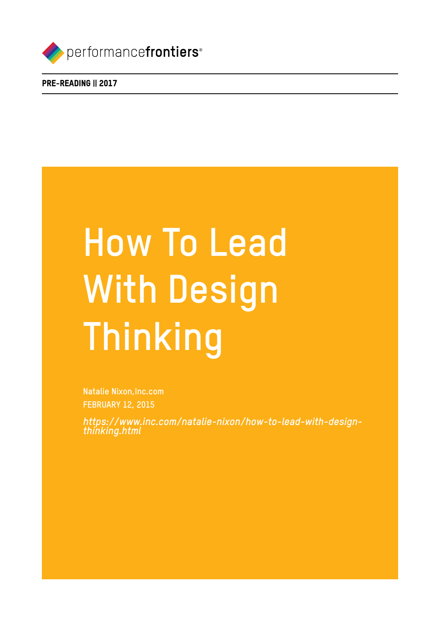

PRE-READING || 2017

# **How To Lead With Design Thinking**

**Natalie Nixon,Inc.com FEBRUARY 12, 2015**

*https://www.inc.com/natalie-nixon/how-to-lead-with-designthinking.html*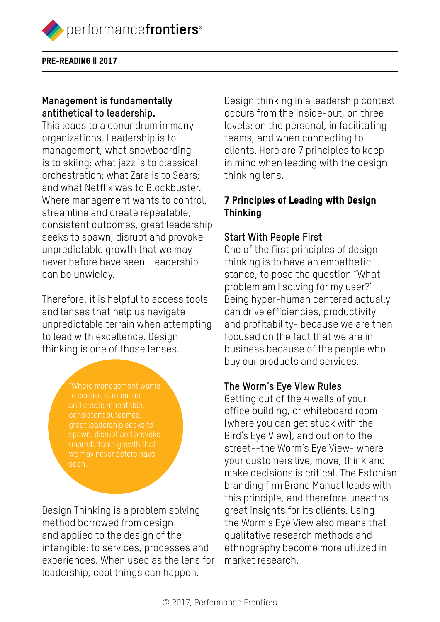

PRE-READING || 2017

## **Management is fundamentally antithetical to leadership.**

This leads to a conundrum in many organizations. Leadership is to management, what snowboarding is to skiing; what jazz is to classical orchestration; what Zara is to Sears; and what Netflix was to Blockbuster. Where management wants to control, streamline and create repeatable, consistent outcomes, great leadership seeks to spawn, disrupt and provoke unpredictable growth that we may never before have seen. Leadership can be unwieldy.

Therefore, it is helpful to access tools and lenses that help us navigate unpredictable terrain when attempting to lead with excellence. Design thinking is one of those lenses.

> to control, streamline great leadership seeks to seen..

Design Thinking is a problem solving method borrowed from design and applied to the design of the intangible: to services, processes and experiences. When used as the lens for leadership, cool things can happen.

Design thinking in a leadership context occurs from the inside-out, on three levels: on the personal, in facilitating teams, and when connecting to clients. Here are 7 principles to keep in mind when leading with the design thinking lens.

## 7 Principles of Leading with Design **Thinking**

## **Start With People First**

One of the first principles of design thinking is to have an empathetic stance, to pose the question "What problem am I solving for my user?" Being hyper-human centered actually can drive efficiencies, productivity and profitability- because we are then focused on the fact that we are in business because of the people who buy our products and services.

## **The Worm's Eye View Rules**

Getting out of the 4 walls of your office building, or whiteboard room (where you can get stuck with the Bird's Eye View), and out on to the street--the Worm's Eye View- where your customers live, move, think and make decisions is critical. The Estonian branding firm Brand Manual leads with this principle, and therefore unearths great insights for its clients. Using the Worm's Eye View also means that qualitative research methods and ethnography become more utilized in market research.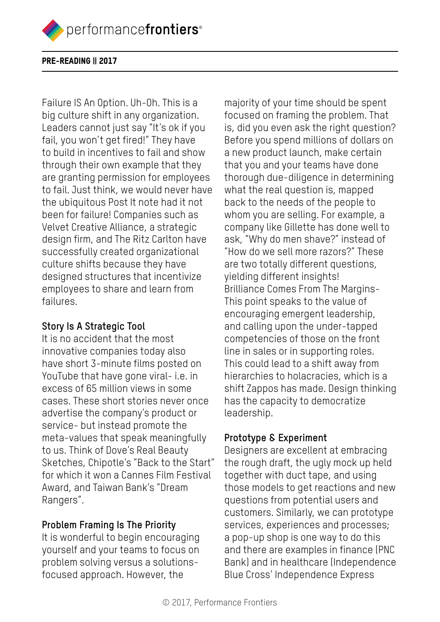performancefrontiers<sup>®</sup>

#### PRE-READING || 2017

Failure IS An Option. Uh-Oh. This is a big culture shift in any organization. Leaders cannot just say "It's ok if you fail, you won't get fired!" They have to build in incentives to fail and show through their own example that they are granting permission for employees to fail. Just think, we would never have the ubiquitous Post It note had it not been for failure! Companies such as Velvet Creative Alliance, a strategic design firm, and The Ritz Carlton have successfully created organizational culture shifts because they have designed structures that incentivize employees to share and learn from failures.

### **Story Is A Strategic Tool**

It is no accident that the most innovative companies today also have short 3-minute films posted on YouTube that have gone viral- i.e. in excess of 65 million views in some cases. These short stories never once advertise the company's product or service- but instead promote the meta-values that speak meaningfully to us. Think of Dove's Real Beauty Sketches, Chipotle's "Back to the Start" for which it won a Cannes Film Festival Award, and Taiwan Bank's "Dream Rangers".

## **Problem Framing Is The Priority**

It is wonderful to begin encouraging yourself and your teams to focus on problem solving versus a solutionsfocused approach. However, the

majority of your time should be spent focused on framing the problem. That is, did you even ask the right question? Before you spend millions of dollars on a new product launch, make certain that you and your teams have done thorough due-diligence in determining what the real question is, mapped back to the needs of the people to whom you are selling. For example, a company like Gillette has done well to ask, "Why do men shave?" instead of "How do we sell more razors?" These are two totally different questions, yielding different insights! Brilliance Comes From The Margins-This point speaks to the value of encouraging emergent leadership, and calling upon the under-tapped competencies of those on the front line in sales or in supporting roles. This could lead to a shift away from hierarchies to holacracies, which is a shift Zappos has made. Design thinking has the capacity to democratize leadership.

## **Prototype & Experiment**

Designers are excellent at embracing the rough draft, the ugly mock up held together with duct tape, and using those models to get reactions and new questions from potential users and customers. Similarly, we can prototype services, experiences and processes; a pop-up shop is one way to do this and there are examples in finance (PNC Bank) and in healthcare (Independence Blue Cross' Independence Express